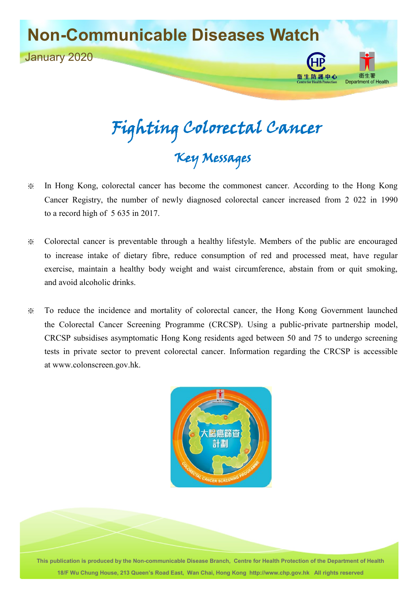

Fighting Colorectal Cancer Key Messages

- ※ In Hong Kong, colorectal cancer has become the commonest cancer. According to the Hong Kong Cancer Registry, the number of newly diagnosed colorectal cancer increased from 2 022 in 1990 to a record high of 5 635 in 2017.
- ※ Colorectal cancer is preventable through a healthy lifestyle. Members of the public are encouraged to increase intake of dietary fibre, reduce consumption of red and processed meat, have regular exercise, maintain a healthy body weight and waist circumference, abstain from or quit smoking, and avoid alcoholic drinks.
- ※ To reduce the incidence and mortality of colorectal cancer, the Hong Kong Government launched the Colorectal Cancer Screening Programme (CRCSP). Using a public-private partnership model, CRCSP subsidises asymptomatic Hong Kong residents aged between 50 and 75 to undergo screening tests in private sector to prevent colorectal cancer. Information regarding the CRCSP is accessible at [www.colonscreen.gov.hk](http://www.colonscreen.gov.hk/).



**This publication is produced by the Non-communicable Disease Branch, Centre for Health Protection of the Department of Health 18/F Wu Chung House, 213 Queen's Road East, Wan Chai, Hong Kong [http://www.chp.gov.hk](http://www.chp.gov.hk/) All rights reserved**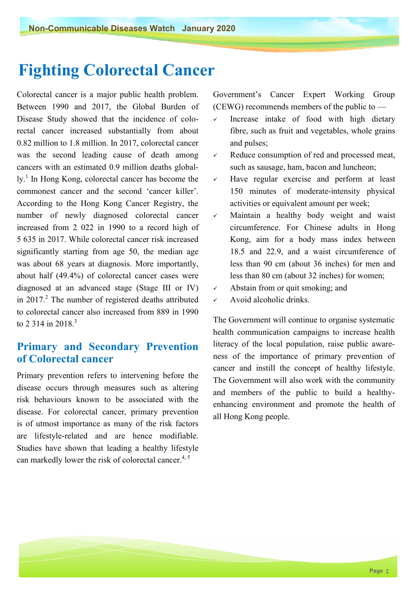# **Fighting Colorectal Cancer**

Colorectal cancer is a major public health problem. Between 1990 and 2017, the Global Burden of Disease Study showed that the incidence of colorectal cancer increased substantially from about 0.82 million to 1.8 million. In 2017, colorectal cancer was the second leading cause of death among cancers with an estimated 0.9 million deaths globally.<sup>1</sup> In Hong Kong, colorectal cancer has become the commonest cancer and the second 'cancer killer'. According to the Hong Kong Cancer Registry, the number of newly diagnosed colorectal cancer increased from 2 022 in 1990 to a record high of 5 635 in 2017. While colorectal cancer risk increased significantly starting from age 50, the median age was about 68 years at diagnosis. More importantly, about half (49.4%) of colorectal cancer cases were diagnosed at an advanced stage (Stage III or IV) in 2017. $^2$  The number of registered deaths attributed to colorectal cancer also increased from 889 in 1990 to 2, 314 in 2018.<sup>3</sup>

## **Primary and Secondary Prevention of Colorectal cancer**

Primary prevention refers to intervening before the disease occurs through measures such as altering risk behaviours known to be associated with the disease. For colorectal cancer, primary prevention is of utmost importance as many of the risk factors are lifestyle-related and are hence modifiable. Studies have shown that leading a healthy lifestyle can markedly lower the risk of colorectal cancer.<sup>4, 5</sup>

Government's Cancer Expert Working Group (CEWG) recommends members of the public to —

- $\checkmark$  Increase intake of food with high dietary fibre, such as fruit and vegetables, whole grains and pulses;
- $\checkmark$  Reduce consumption of red and processed meat, such as sausage, ham, bacon and luncheon;
- $\checkmark$  Have regular exercise and perform at least 150 minutes of moderate-intensity physical activities or equivalent amount per week;
- Maintain a healthy body weight and waist circumference. For Chinese adults in Hong Kong, aim for a body mass index between 18.5 and 22.9, and a waist circumference of less than 90 cm (about 36 inches) for men and less than 80 cm (about 32 inches) for women;
- $\checkmark$  Abstain from or quit smoking; and
- $\checkmark$  Avoid alcoholic drinks.

The Government will continue to organise systematic health communication campaigns to increase health literacy of the local population, raise public awareness of the importance of primary prevention of cancer and instill the concept of healthy lifestyle. The Government will also work with the community and members of the public to build a healthyenhancing environment and promote the health of all Hong Kong people.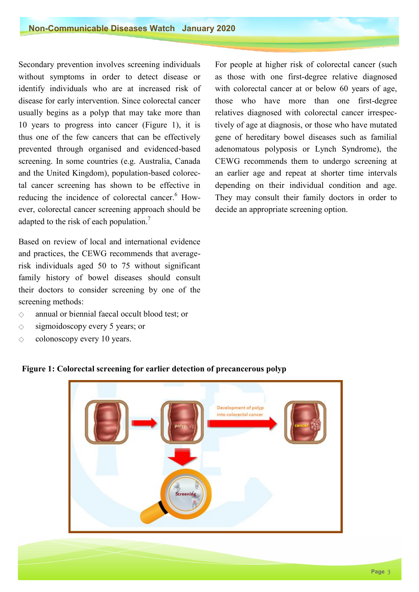Secondary prevention involves screening individuals without symptoms in order to detect disease or identify individuals who are at increased risk of disease for early intervention. Since colorectal cancer usually begins as a polyp that may take more than 10 years to progress into cancer (Figure 1), it is thus one of the few cancers that can be effectively prevented through organised and evidenced-based screening. In some countries (e.g. Australia, Canada and the United Kingdom), population-based colorectal cancer screening has shown to be effective in reducing the incidence of colorectal cancer.<sup>6</sup> However, colorectal cancer screening approach should be adapted to the risk of each population.<sup>7</sup>

Based on review of local and international evidence and practices, the CEWG recommends that averagerisk individuals aged 50 to 75 without significant family history of bowel diseases should consult their doctors to consider screening by one of the screening methods:

- ◇ annual or biennial faecal occult blood test; or
- $\Diamond$  sigmoidoscopy every 5 years; or
- $\Diamond$  colonoscopy every 10 years.

For people at higher risk of colorectal cancer (such as those with one first-degree relative diagnosed with colorectal cancer at or below 60 years of age, those who have more than one first-degree relatives diagnosed with colorectal cancer irrespectively of age at diagnosis, or those who have mutated gene of hereditary bowel diseases such as familial adenomatous polyposis or Lynch Syndrome), the CEWG recommends them to undergo screening at an earlier age and repeat at shorter time intervals depending on their individual condition and age. They may consult their family doctors in order to decide an appropriate screening option.



#### **Figure 1: Colorectal screening for earlier detection of precancerous polyp**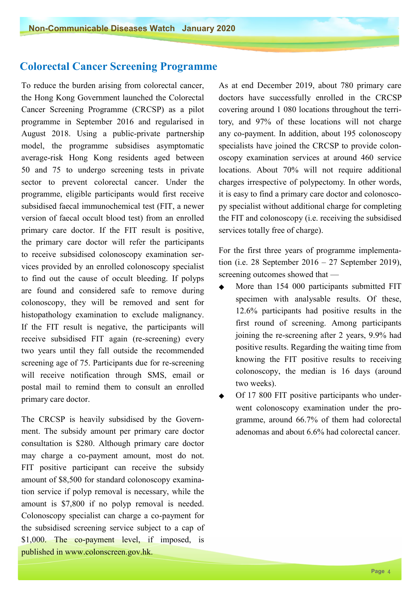### **Colorectal Cancer Screening Programme**

 primary care doctor. If the FIT result is positive, To reduce the burden arising from colorectal cancer, the Hong Kong Government launched the Colorectal Cancer Screening Programme (CRCSP) as a pilot programme in September 2016 and regularised in August 2018. Using a public-private partnership model, the programme subsidises asymptomatic average-risk Hong Kong residents aged between 50 and 75 to undergo screening tests in private sector to prevent colorectal cancer. Under the programme, eligible participants would first receive subsidised faecal immunochemical test (FIT, a newer version of faecal occult blood test) from an enrolled the primary care doctor will refer the participants to receive subsidised colonoscopy examination services provided by an enrolled colonoscopy specialist to find out the cause of occult bleeding. If polyps are found and considered safe to remove during colonoscopy, they will be removed and sent for histopathology examination to exclude malignancy. If the FIT result is negative, the participants will receive subsidised FIT again (re-screening) every two years until they fall outside the recommended screening age of 75. Participants due for re-screening will receive notification through SMS, email or postal mail to remind them to consult an enrolled primary care doctor.

The CRCSP is heavily subsidised by the Government. The subsidy amount per primary care doctor consultation is \$280. Although primary care doctor may charge a co-payment amount, most do not. FIT positive participant can receive the subsidy amount of \$8,500 for standard colonoscopy examination service if polyp removal is necessary, while the amount is \$7,800 if no polyp removal is needed. Colonoscopy specialist can charge a co-payment for the subsidised screening service subject to a cap of \$1,000. The co-payment level, if imposed, is published i[n www.colonscreen.gov.hk](http://www.colonscreen.gov.hk/).

As at end December 2019, about 780 primary care doctors have successfully enrolled in the CRCSP covering around 1 080 locations throughout the territory, and 97% of these locations will not charge any co-payment. In addition, about 195 colonoscopy specialists have joined the CRCSP to provide colon oscopy examination services at around 460 service locations. About 70% will not require additional charges irrespective of polypectomy. In other words, it is easy to find a primary care doctor and colonoscopy specialist without additional charge for completing the FIT and colonoscopy (i.e. receiving the subsidised services totally free of charge).

For the first three years of programme implementation (i.e. 28 September 2016 – 27 September 2019), screening outcomes showed that —

- More than 154 000 participants submitted FIT specimen with analysable results. Of these, 12.6% participants had positive results in the first round of screening. Among participants joining the re-screening after 2 years, 9.9% had positive results. Regarding the waiting time from knowing the FIT positive results to receiving colonoscopy, the median is 16 days (around two weeks).
- Of 17 800 FIT positive participants who underwent colonoscopy examination under the programme, around 66.7% of them had colorectal adenomas and about 6.6% had colorectal cancer.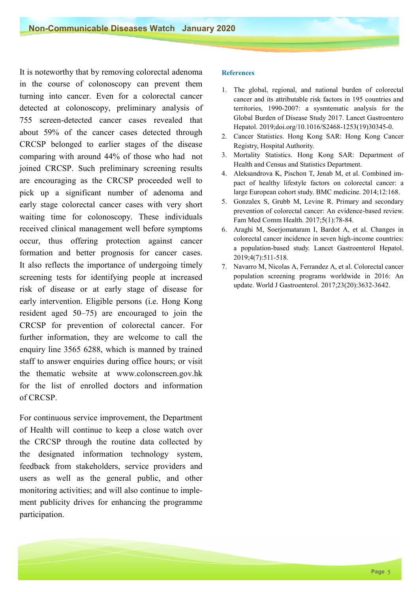It is noteworthy that by removing colorectal adenoma in the course of colonoscopy can prevent them turning into cancer. Even for a colorectal cancer detected at colonoscopy, preliminary analysis of 755 screen-detected cancer cases revealed that about 59% of the cancer cases detected through CRCSP belonged to earlier stages of the disease comparing with around 44% of those who had not joined CRCSP. Such preliminary screening results are encouraging as the CRCSP proceeded well to pick up a significant number of adenoma and early stage colorectal cancer cases with very short waiting time for colonoscopy. These individuals received clinical management well before symptoms occur, thus offering protection against cancer formation and better prognosis for cancer cases. It also reflects the importance of undergoing timely screening tests for identifying people at increased risk of disease or at early stage of disease for early intervention. Eligible persons (i.e. Hong Kong resident aged 50–75) are encouraged to join the CRCSP for prevention of colorectal cancer. For further information, they are welcome to call the enquiry line 3565 6288, which is manned by trained staff to answer enquiries during office hours; or visit the thematic website at [www.colonscreen.gov.hk](http://www.colonscreen.gov.hk/)  for the list of enrolled doctors and information of CRCSP.

For continuous service improvement, the Department of Health will continue to keep a close watch over the CRCSP through the routine data collected by the designated information technology system, feedback from stakeholders, service providers and users as well as the general public, and other monitoring activities; and will also continue to implement publicity drives for enhancing the programme participation.

#### **References**

- 1. The global, regional, and national burden of colorectal cancer and its attributable risk factors in 195 countries and territories, 1990-2007: a sysmtematic analysis for the Global Burden of Disease Study 2017. Lancet Gastroentero Hepatol. 2019;doi.org/10.1016/S2468-1253(19)30345-0.
- 2. Cancer Statistics. Hong Kong SAR: Hong Kong Cancer Registry, Hospital Authority.
- 3. Mortality Statistics. Hong Kong SAR: Department of Health and Census and Statistics Department.
- 4. Aleksandrova K, Pischon T, Jenab M, et al. Combined impact of healthy lifestyle factors on colorectal cancer: a large European cohort study. BMC medicine. 2014;12:168.
- 5. Gonzalex S, Grubb M, Levine R. Primary and secondary prevention of colorectal cancer: An evidence-based review. Fam Med Comm Health. 2017;5(1):78-84.
- 6. Araghi M, Soerjomataram I, Bardot A, et al. Changes in colorectal cancer incidence in seven high-income countries: a population-based study. Lancet Gastroenterol Hepatol. 2019;4(7):511-518.
- 7. Navarro M, Nicolas A, Ferrandez A, et al. Colorectal cancer population screening programs worldwide in 2016: An update. World J Gastroenterol. 2017;23(20):3632-3642.